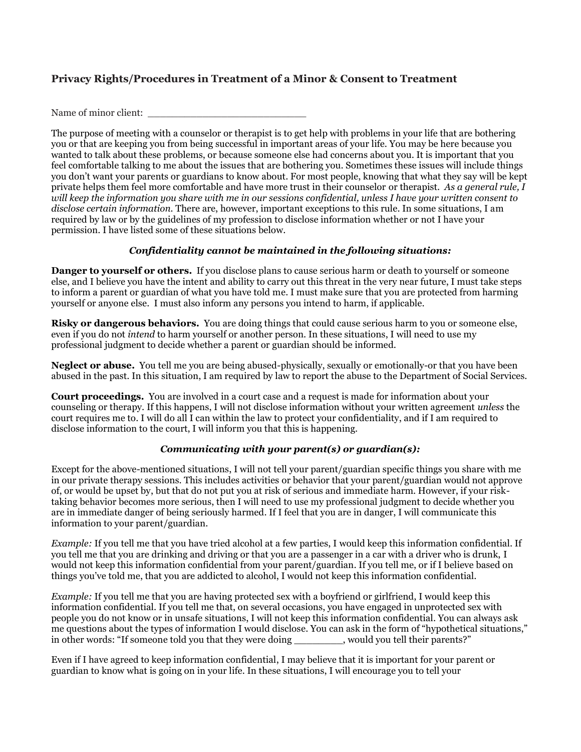# **Privacy Rights/Procedures in Treatment of a Minor & Consent to Treatment**

Name of minor client:

The purpose of meeting with a counselor or therapist is to get help with problems in your life that are bothering you or that are keeping you from being successful in important areas of your life. You may be here because you wanted to talk about these problems, or because someone else had concerns about you. It is important that you feel comfortable talking to me about the issues that are bothering you. Sometimes these issues will include things you don't want your parents or guardians to know about. For most people, knowing that what they say will be kept private helps them feel more comfortable and have more trust in their counselor or therapist. *As a general rule, I will keep the information you share with me in our sessions confidential, unless I have your written consent to disclose certain information.* There are, however, important exceptions to this rule. In some situations, I am required by law or by the guidelines of my profession to disclose information whether or not I have your permission. I have listed some of these situations below.

## *Confidentiality cannot be maintained in the following situations:*

**Danger to yourself or others.** If you disclose plans to cause serious harm or death to yourself or someone else, and I believe you have the intent and ability to carry out this threat in the very near future, I must take steps to inform a parent or guardian of what you have told me. I must make sure that you are protected from harming yourself or anyone else. I must also inform any persons you intend to harm, if applicable.

**Risky or dangerous behaviors.** You are doing things that could cause serious harm to you or someone else, even if you do not *intend* to harm yourself or another person. In these situations, I will need to use my professional judgment to decide whether a parent or guardian should be informed.

**Neglect or abuse.** You tell me you are being abused-physically, sexually or emotionally-or that you have been abused in the past. In this situation, I am required by law to report the abuse to the Department of Social Services.

**Court proceedings.** You are involved in a court case and a request is made for information about your counseling or therapy. If this happens, I will not disclose information without your written agreement *unless* the court requires me to. I will do all I can within the law to protect your confidentiality, and if I am required to disclose information to the court, I will inform you that this is happening.

# *Communicating with your parent(s) or guardian(s):*

Except for the above-mentioned situations, I will not tell your parent/guardian specific things you share with me in our private therapy sessions. This includes activities or behavior that your parent/guardian would not approve of, or would be upset by, but that do not put you at risk of serious and immediate harm. However, if your risktaking behavior becomes more serious, then I will need to use my professional judgment to decide whether you are in immediate danger of being seriously harmed. If I feel that you are in danger, I will communicate this information to your parent/guardian.

*Example:* If you tell me that you have tried alcohol at a few parties, I would keep this information confidential. If you tell me that you are drinking and driving or that you are a passenger in a car with a driver who is drunk, I would not keep this information confidential from your parent/guardian. If you tell me, or if I believe based on things you've told me, that you are addicted to alcohol, I would not keep this information confidential.

*Example:* If you tell me that you are having protected sex with a boyfriend or girlfriend, I would keep this information confidential. If you tell me that, on several occasions, you have engaged in unprotected sex with people you do not know or in unsafe situations, I will not keep this information confidential. You can always ask me questions about the types of information I would disclose. You can ask in the form of "hypothetical situations," in other words: "If someone told you that they were doing \_\_\_\_\_\_\_\_, would you tell their parents?"

Even if I have agreed to keep information confidential, I may believe that it is important for your parent or guardian to know what is going on in your life. In these situations, I will encourage you to tell your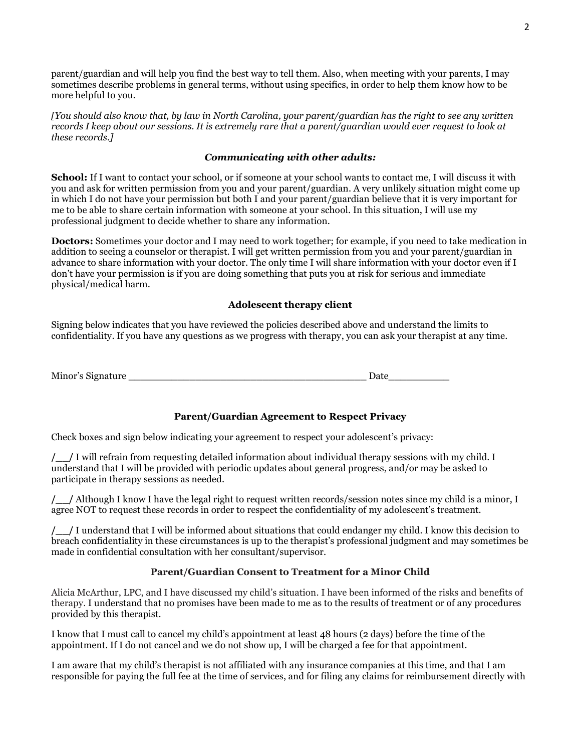parent/guardian and will help you find the best way to tell them. Also, when meeting with your parents, I may sometimes describe problems in general terms, without using specifics, in order to help them know how to be more helpful to you.

*[You should also know that, by law in North Carolina, your parent/guardian has the right to see any written records I keep about our sessions. It is extremely rare that a parent/guardian would ever request to look at these records.]*

#### *Communicating with other adults:*

**School:** If I want to contact your school, or if someone at your school wants to contact me, I will discuss it with you and ask for written permission from you and your parent/guardian. A very unlikely situation might come up in which I do not have your permission but both I and your parent/guardian believe that it is very important for me to be able to share certain information with someone at your school. In this situation, I will use my professional judgment to decide whether to share any information.

**Doctors:** Sometimes your doctor and I may need to work together; for example, if you need to take medication in addition to seeing a counselor or therapist. I will get written permission from you and your parent/guardian in advance to share information with your doctor. The only time I will share information with your doctor even if I don't have your permission is if you are doing something that puts you at risk for serious and immediate physical/medical harm.

## **Adolescent therapy client**

Signing below indicates that you have reviewed the policies described above and understand the limits to confidentiality. If you have any questions as we progress with therapy, you can ask your therapist at any time.

Minor's Signature the contract of the contract of the contract of the contract of the contract of the contract of the contract of the contract of the contract of the contract of the contract of the contract of the contract

# **Parent/Guardian Agreement to Respect Privacy**

Check boxes and sign below indicating your agreement to respect your adolescent's privacy:

**/\_\_/** I will refrain from requesting detailed information about individual therapy sessions with my child. I understand that I will be provided with periodic updates about general progress, and/or may be asked to participate in therapy sessions as needed.

**/\_\_/** Although I know I have the legal right to request written records/session notes since my child is a minor, I agree NOT to request these records in order to respect the confidentiality of my adolescent's treatment.

**/\_\_/** I understand that I will be informed about situations that could endanger my child. I know this decision to breach confidentiality in these circumstances is up to the therapist's professional judgment and may sometimes be made in confidential consultation with her consultant/supervisor.

# **Parent/Guardian Consent to Treatment for a Minor Child**

Alicia McArthur, LPC, and I have discussed my child's situation. I have been informed of the risks and benefits of therapy. I understand that no promises have been made to me as to the results of treatment or of any procedures provided by this therapist.

I know that I must call to cancel my child's appointment at least 48 hours (2 days) before the time of the appointment. If I do not cancel and we do not show up, I will be charged a fee for that appointment.

I am aware that my child's therapist is not affiliated with any insurance companies at this time, and that I am responsible for paying the full fee at the time of services, and for filing any claims for reimbursement directly with